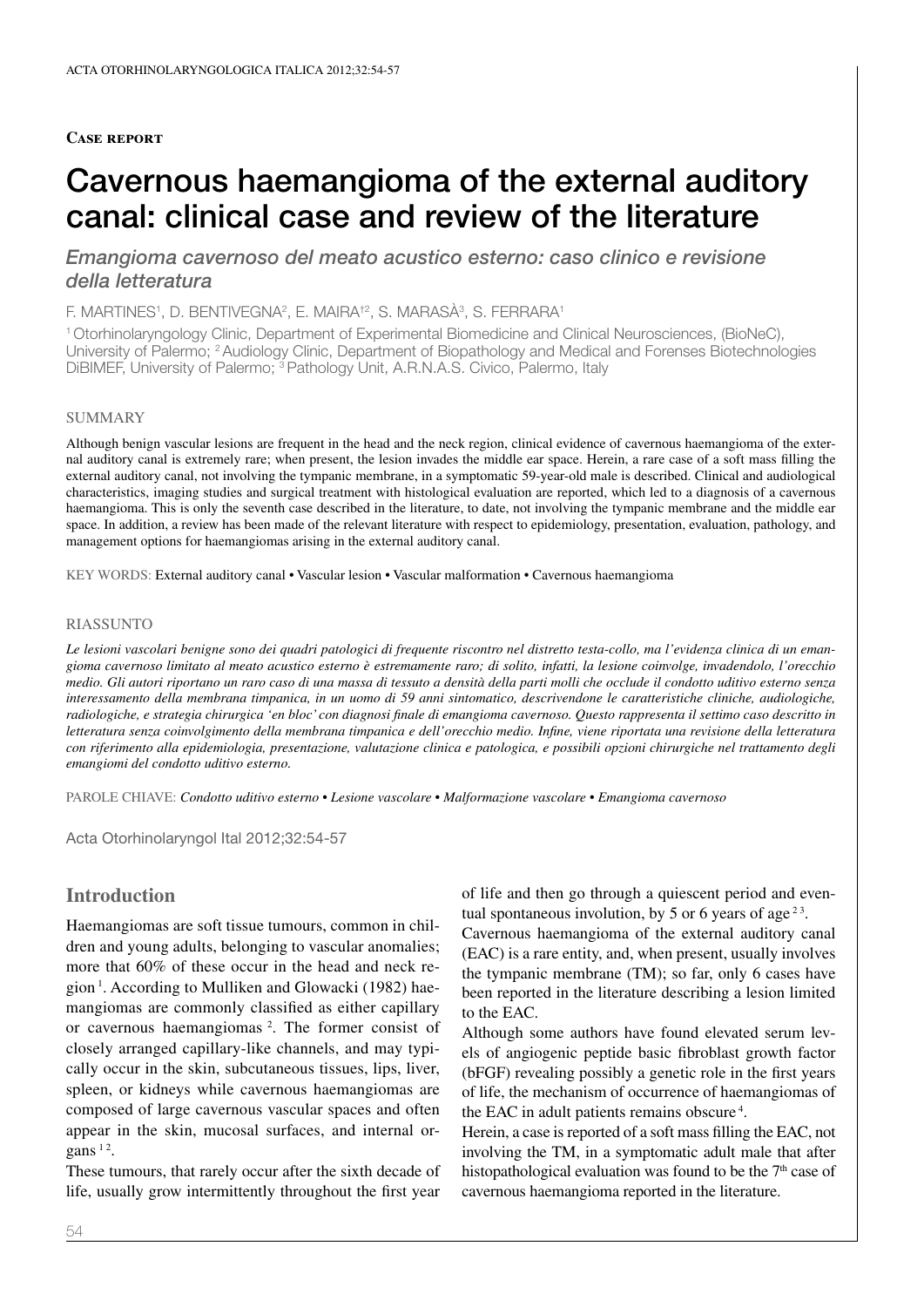## **Case report**

# Cavernous haemangioma of the external auditory canal: clinical case and review of the literature

*Emangioma cavernoso del meato acustico esterno: caso clinico e revisione della letteratura*

F. MARTINES<sup>1</sup>, D. BENTIVEGNA<sup>2</sup>, E. MAIRA<sup>†2</sup>, S. MARASÀ<sup>3</sup>, S. FERRARA<sup>1</sup>

<sup>1</sup> Otorhinolaryngology Clinic, Department of Experimental Biomedicine and Clinical Neurosciences, (BioNeC), University of Palermo; 2 Audiology Clinic, Department of Biopathology and Medical and Forenses Biotechnologies DiBIMEF, University of Palermo; 3 Pathology Unit, A.R.N.A.S. Civico, Palermo, Italy

#### **SUMMARY**

Although benign vascular lesions are frequent in the head and the neck region, clinical evidence of cavernous haemangioma of the external auditory canal is extremely rare; when present, the lesion invades the middle ear space. Herein, a rare case of a soft mass filling the external auditory canal, not involving the tympanic membrane, in a symptomatic 59-year-old male is described. Clinical and audiological characteristics, imaging studies and surgical treatment with histological evaluation are reported, which led to a diagnosis of a cavernous haemangioma. This is only the seventh case described in the literature, to date, not involving the tympanic membrane and the middle ear space. In addition, a review has been made of the relevant literature with respect to epidemiology, presentation, evaluation, pathology, and management options for haemangiomas arising in the external auditory canal.

KEY WORDS: External auditory canal • Vascular lesion • Vascular malformation • Cavernous haemangioma

### **RIASSUNTO**

*Le lesioni vascolari benigne sono dei quadri patologici di frequente riscontro nel distretto testa-collo, ma l'evidenza clinica di un emangioma cavernoso limitato al meato acustico esterno è estremamente raro; di solito, infatti, la lesione coinvolge, invadendolo, l'orecchio medio. Gli autori riportano un raro caso di una massa di tessuto a densità della parti molli che occlude il condotto uditivo esterno senza interessamento della membrana timpanica, in un uomo di 59 anni sintomatico, descrivendone le caratteristiche cliniche, audiologiche, radiologiche, e strategia chirurgica 'en bloc' con diagnosi finale di emangioma cavernoso. Questo rappresenta il settimo caso descritto in letteratura senza coinvolgimento della membrana timpanica e dell'orecchio medio. Infine, viene riportata una revisione della letteratura con riferimento alla epidemiologia, presentazione, valutazione clinica e patologica, e possibili opzioni chirurgiche nel trattamento degli emangiomi del condotto uditivo esterno.*

parole chiave: *Condotto uditivo esterno • Lesione vascolare • Malformazione vascolare • Emangioma cavernoso*

Acta Otorhinolaryngol Ital 2012;32:54-57

# **Introduction**

Haemangiomas are soft tissue tumours, common in children and young adults, belonging to vascular anomalies; more that 60% of these occur in the head and neck region <sup>1</sup> . According to Mulliken and Glowacki (1982) haemangiomas are commonly classified as either capillary or cavernous haemangiomas<sup>2</sup>. The former consist of closely arranged capillary-like channels, and may typically occur in the skin, subcutaneous tissues, lips, liver, spleen, or kidneys while cavernous haemangiomas are composed of large cavernous vascular spaces and often appear in the skin, mucosal surfaces, and internal or $gans<sup>12</sup>$ .

These tumours, that rarely occur after the sixth decade of life, usually grow intermittently throughout the first year

of life and then go through a quiescent period and eventual spontaneous involution, by 5 or 6 years of age<sup>23</sup>.

Cavernous haemangioma of the external auditory canal (EAC) is a rare entity, and, when present, usually involves the tympanic membrane (TM); so far, only 6 cases have been reported in the literature describing a lesion limited to the EAC.

Although some authors have found elevated serum levels of angiogenic peptide basic fibroblast growth factor (bFGF) revealing possibly a genetic role in the first years of life, the mechanism of occurrence of haemangiomas of the EAC in adult patients remains obscure<sup>4</sup>.

Herein, a case is reported of a soft mass filling the EAC, not involving the TM, in a symptomatic adult male that after histopathological evaluation was found to be the  $7<sup>th</sup>$  case of cavernous haemangioma reported in the literature.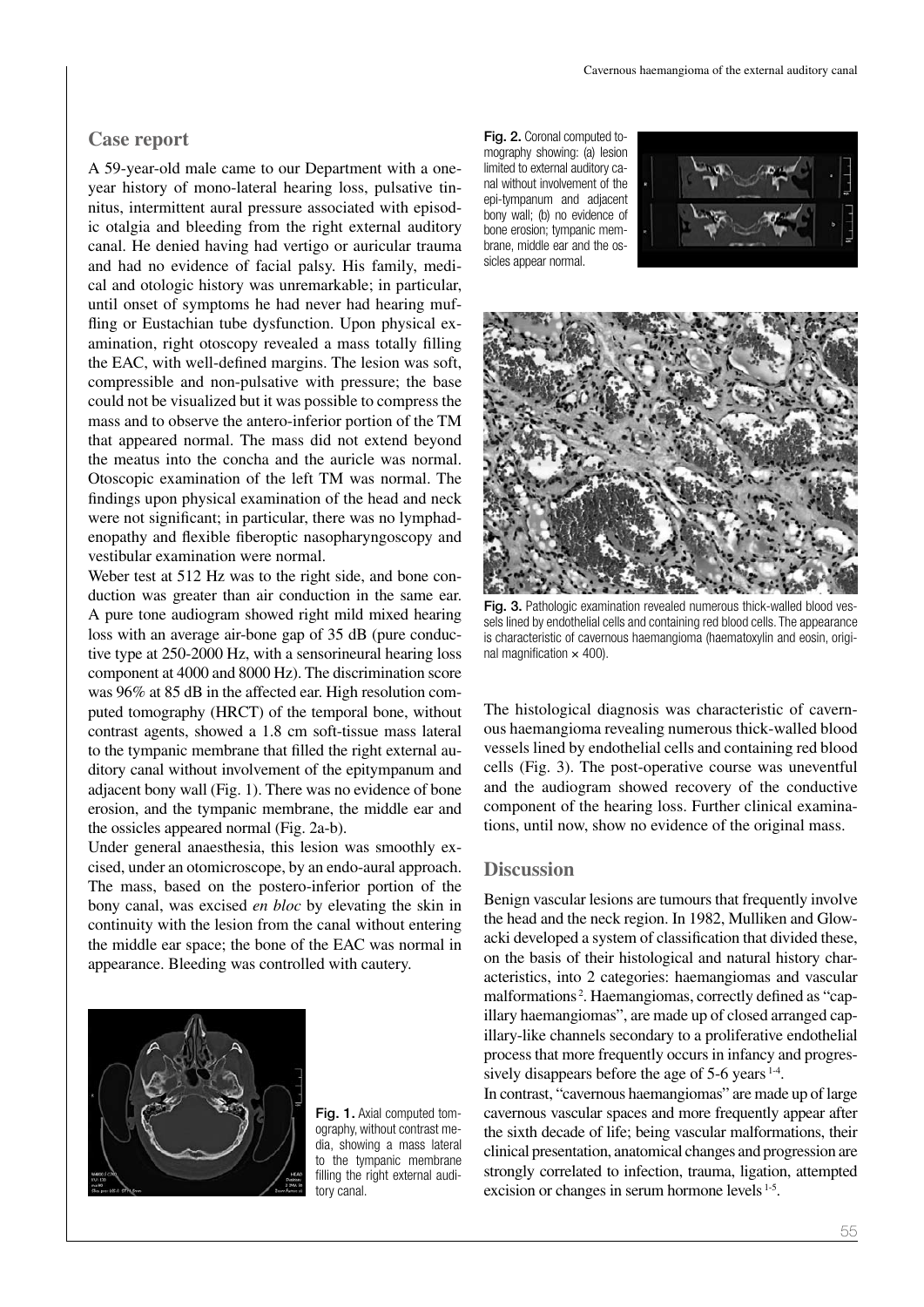## **Case report**

A 59-year-old male came to our Department with a oneyear history of mono-lateral hearing loss, pulsative tinnitus, intermittent aural pressure associated with episodic otalgia and bleeding from the right external auditory canal. He denied having had vertigo or auricular trauma and had no evidence of facial palsy. His family, medical and otologic history was unremarkable; in particular, until onset of symptoms he had never had hearing muffling or Eustachian tube dysfunction. Upon physical examination, right otoscopy revealed a mass totally filling the EAC, with well-defined margins. The lesion was soft, compressible and non-pulsative with pressure; the base could not be visualized but it was possible to compress the mass and to observe the antero-inferior portion of the TM that appeared normal. The mass did not extend beyond the meatus into the concha and the auricle was normal. Otoscopic examination of the left TM was normal. The findings upon physical examination of the head and neck were not significant; in particular, there was no lymphadenopathy and flexible fiberoptic nasopharyngoscopy and vestibular examination were normal.

Weber test at 512 Hz was to the right side, and bone conduction was greater than air conduction in the same ear. A pure tone audiogram showed right mild mixed hearing loss with an average air-bone gap of 35 dB (pure conductive type at 250-2000 Hz, with a sensorineural hearing loss component at 4000 and 8000 Hz). The discrimination score was 96% at 85 dB in the affected ear. High resolution computed tomography (HRCT) of the temporal bone, without contrast agents, showed a 1.8 cm soft-tissue mass lateral to the tympanic membrane that filled the right external auditory canal without involvement of the epitympanum and adjacent bony wall (Fig. 1). There was no evidence of bone erosion, and the tympanic membrane, the middle ear and the ossicles appeared normal (Fig. 2a-b).

Under general anaesthesia, this lesion was smoothly excised, under an otomicroscope, by an endo-aural approach. The mass, based on the postero-inferior portion of the bony canal, was excised *en bloc* by elevating the skin in continuity with the lesion from the canal without entering the middle ear space; the bone of the EAC was normal in appearance. Bleeding was controlled with cautery.



Fig. 1. Axial computed tomography, without contrast media, showing a mass lateral to the tympanic membrane filling the right external auditory canal.

Fig. 2. Coronal computed tomography showing: (a) lesion limited to external auditory canal without involvement of the epi-tympanum and adjacent bony wall; (b) no evidence of bone erosion; tympanic membrane, middle ear and the ossicles appear normal.





Fig. 3. Pathologic examination revealed numerous thick-walled blood vessels lined by endothelial cells and containing red blood cells. The appearance is characteristic of cavernous haemangioma (haematoxylin and eosin, original magnification  $\times$  400).

The histological diagnosis was characteristic of cavernous haemangioma revealing numerous thick-walled blood vessels lined by endothelial cells and containing red blood cells (Fig. 3). The post-operative course was uneventful and the audiogram showed recovery of the conductive component of the hearing loss. Further clinical examinations, until now, show no evidence of the original mass.

## **Discussion**

Benign vascular lesions are tumours that frequently involve the head and the neck region. In 1982, Mulliken and Glowacki developed a system of classification that divided these, on the basis of their histological and natural history characteristics, into 2 categories: haemangiomas and vascular malformations <sup>2</sup> . Haemangiomas, correctly defined as "capillary haemangiomas", are made up of closed arranged capillary-like channels secondary to a proliferative endothelial process that more frequently occurs in infancy and progressively disappears before the age of 5-6 years <sup>1-4</sup>.

In contrast, "cavernous haemangiomas" are made up of large cavernous vascular spaces and more frequently appear after the sixth decade of life; being vascular malformations, their clinical presentation, anatomical changes and progression are strongly correlated to infection, trauma, ligation, attempted excision or changes in serum hormone levels 1-5.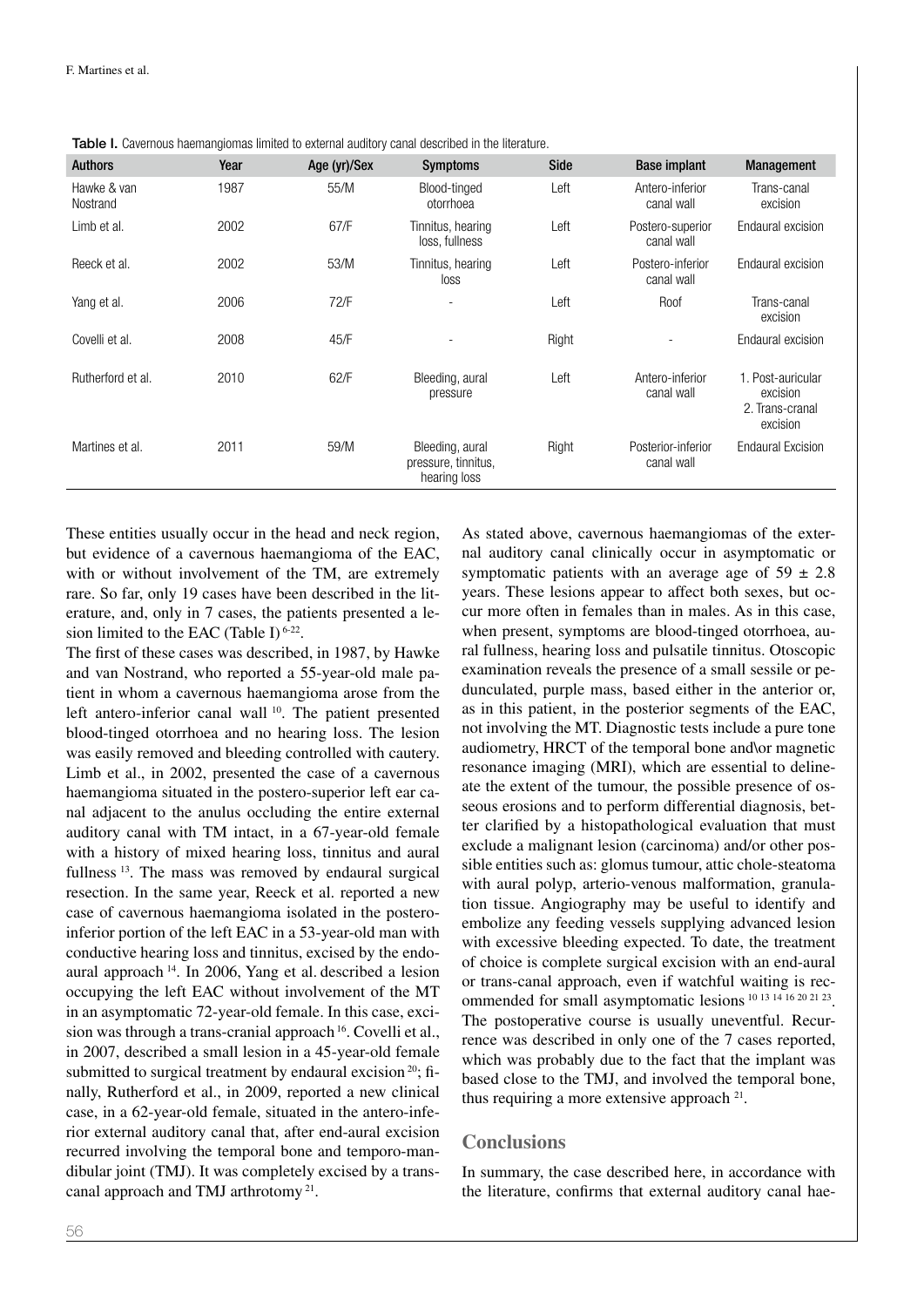Table I. Cavernous haemangiomas limited to external auditory canal described in the literature.

| <b>Authors</b>          | Year | Age (yr)/Sex | <b>Symptoms</b>                                        | <b>Side</b> | <b>Base implant</b>              | Management                                                   |
|-------------------------|------|--------------|--------------------------------------------------------|-------------|----------------------------------|--------------------------------------------------------------|
| Hawke & van<br>Nostrand | 1987 | 55/M         | Blood-tinged<br>otorrhoea                              | Left        | Antero-inferior<br>canal wall    | Trans-canal<br>excision                                      |
| Limb et al.             | 2002 | 67/F         | Tinnitus, hearing<br>loss, fullness                    | Left        | Postero-superior<br>canal wall   | Endaural excision                                            |
| Reeck et al.            | 2002 | 53/M         | Tinnitus, hearing<br>loss                              | Left        | Postero-inferior<br>canal wall   | Endaural excision                                            |
| Yang et al.             | 2006 | 72/F         | ٠                                                      | Left        | Roof                             | Trans-canal<br>excision                                      |
| Covelli et al.          | 2008 | 45/F         |                                                        | Right       |                                  | Endaural excision                                            |
| Rutherford et al.       | 2010 | 62/F         | Bleeding, aural<br>pressure                            | Left        | Antero-inferior<br>canal wall    | 1. Post-auricular<br>excision<br>2. Trans-cranal<br>excision |
| Martines et al.         | 2011 | 59/M         | Bleeding, aural<br>pressure, tinnitus,<br>hearing loss | Right       | Posterior-inferior<br>canal wall | <b>Endaural Excision</b>                                     |

These entities usually occur in the head and neck region, but evidence of a cavernous haemangioma of the EAC, with or without involvement of the TM, are extremely rare. So far, only 19 cases have been described in the literature, and, only in 7 cases, the patients presented a lesion limited to the EAC (Table I)  $6-22$ .

The first of these cases was described, in 1987, by Hawke and van Nostrand, who reported a 55-year-old male patient in whom a cavernous haemangioma arose from the left antero-inferior canal wall <sup>10</sup>. The patient presented blood-tinged otorrhoea and no hearing loss. The lesion was easily removed and bleeding controlled with cautery. Limb et al., in 2002, presented the case of a cavernous haemangioma situated in the postero-superior left ear canal adjacent to the anulus occluding the entire external auditory canal with TM intact, in a 67-year-old female with a history of mixed hearing loss, tinnitus and aural fullness<sup>13</sup>. The mass was removed by endaural surgical resection. In the same year, Reeck et al. reported a new case of cavernous haemangioma isolated in the posteroinferior portion of the left EAC in a 53-year-old man with conductive hearing loss and tinnitus, excised by the endoaural approach 14. In 2006, Yang et al. described a lesion occupying the left EAC without involvement of the MT in an asymptomatic 72-year-old female. In this case, excision was through a trans-cranial approach  $16$ . Covelli et al., in 2007, described a small lesion in a 45-year-old female submitted to surgical treatment by endaural excision<sup>20</sup>; finally, Rutherford et al., in 2009, reported a new clinical case, in a 62-year-old female, situated in the antero-inferior external auditory canal that, after end-aural excision recurred involving the temporal bone and temporo-mandibular joint (TMJ). It was completely excised by a transcanal approach and TMJ arthrotomy 21.

As stated above, cavernous haemangiomas of the external auditory canal clinically occur in asymptomatic or symptomatic patients with an average age of  $59 \pm 2.8$ years. These lesions appear to affect both sexes, but occur more often in females than in males. As in this case, when present, symptoms are blood-tinged otorrhoea, aural fullness, hearing loss and pulsatile tinnitus. Otoscopic examination reveals the presence of a small sessile or pedunculated, purple mass, based either in the anterior or, as in this patient, in the posterior segments of the EAC, not involving the MT. Diagnostic tests include a pure tone audiometry, HRCT of the temporal bone and\or magnetic resonance imaging (MRI), which are essential to delineate the extent of the tumour, the possible presence of osseous erosions and to perform differential diagnosis, better clarified by a histopathological evaluation that must exclude a malignant lesion (carcinoma) and/or other possible entities such as: glomus tumour, attic chole-steatoma with aural polyp, arterio-venous malformation, granulation tissue. Angiography may be useful to identify and embolize any feeding vessels supplying advanced lesion with excessive bleeding expected. To date, the treatment of choice is complete surgical excision with an end-aural or trans-canal approach, even if watchful waiting is recommended for small asymptomatic lesions <sup>10</sup> <sup>13</sup> <sup>14</sup> <sup>16</sup> <sup>20</sup> <sup>21</sup> 23. The postoperative course is usually uneventful. Recurrence was described in only one of the 7 cases reported, which was probably due to the fact that the implant was based close to the TMJ, and involved the temporal bone, thus requiring a more extensive approach  $21$ .

# **Conclusions**

In summary, the case described here, in accordance with the literature, confirms that external auditory canal hae-